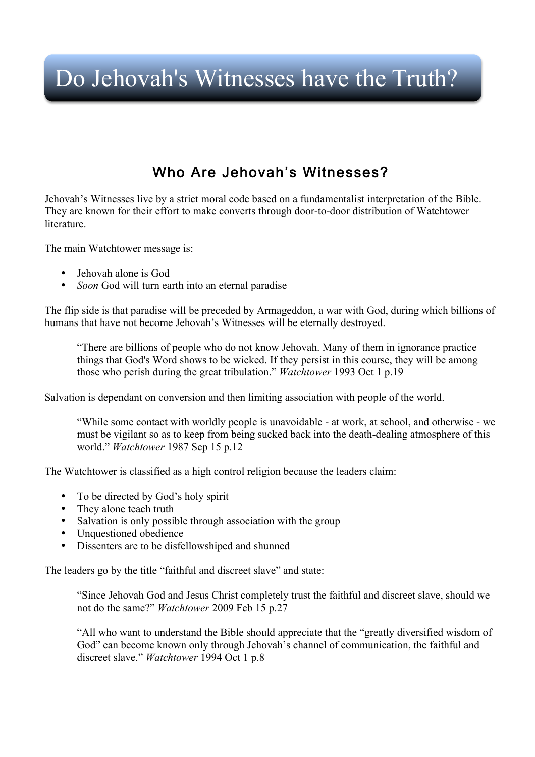# Do Jehovah's Witnesses have the Truth?

### Who Are Jehovah's Witnesses?

Jehovah's Witnesses live by a strict moral code based on a fundamentalist interpretation of the Bible. They are known for their effort to make converts through door-to-door distribution of Watchtower literature.

The main Watchtower message is:

- Jehovah alone is God
- *Soon* God will turn earth into an eternal paradise

The flip side is that paradise will be preceded by Armageddon, a war with God, during which billions of humans that have not become Jehovah's Witnesses will be eternally destroyed.

"There are billions of people who do not know Jehovah. Many of them in ignorance practice things that God's Word shows to be wicked. If they persist in this course, they will be among those who perish during the great tribulation." *Watchtower* 1993 Oct 1 p.19

Salvation is dependant on conversion and then limiting association with people of the world.

"While some contact with worldly people is unavoidable - at work, at school, and otherwise - we must be vigilant so as to keep from being sucked back into the death-dealing atmosphere of this world." *Watchtower* 1987 Sep 15 p.12

The Watchtower is classified as a high control religion because the leaders claim:

- To be directed by God's holy spirit
- They alone teach truth
- Salvation is only possible through association with the group
- Unquestioned obedience
- Dissenters are to be disfellowshiped and shunned

The leaders go by the title "faithful and discreet slave" and state:

"Since Jehovah God and Jesus Christ completely trust the faithful and discreet slave, should we not do the same?" *Watchtower* 2009 Feb 15 p.27

"All who want to understand the Bible should appreciate that the "greatly diversified wisdom of God" can become known only through Jehovah's channel of communication, the faithful and discreet slave." *Watchtower* 1994 Oct 1 p.8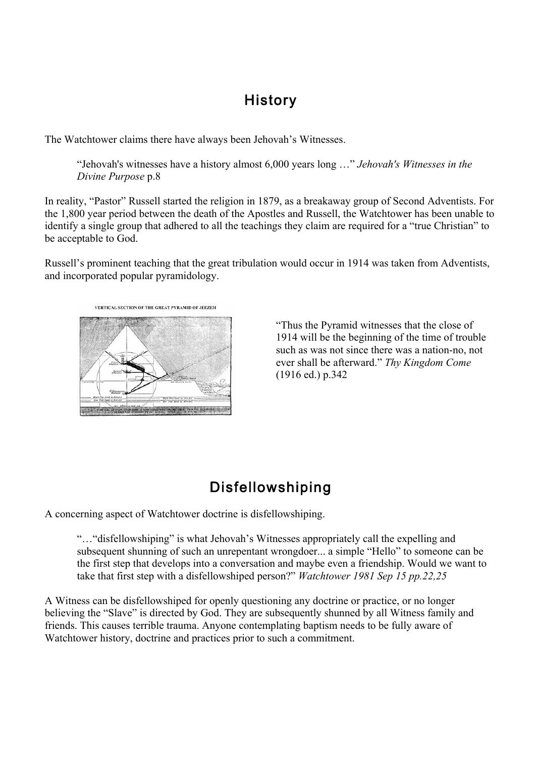### History

The Watchtower claims there have always been Jehovah's Witnesses.

"Jehovah's witnesses have a history almost 6,000 years long …" *Jehovah's Witnesses in the Divine Purpose* p.8

In reality, "Pastor" Russell started the religion in 1879, as a breakaway group of Second Adventists. For the 1,800 year period between the death of the Apostles and Russell, the Watchtower has been unable to identify a single group that adhered to all the teachings they claim are required for a "true Christian" to be acceptable to God.

Russell's prominent teaching that the great tribulation would occur in 1914 was taken from Adventists, and incorporated popular pyramidology.



"Thus the Pyramid witnesses that the close of 1914 will be the beginning of the time of trouble such as was not since there was a nation-no, not ever shall be afterward." *Thy Kingdom Come* (1916 ed.) p.342

# Disfellowshiping

A concerning aspect of Watchtower doctrine is disfellowshiping.

"…"disfellowshiping" is what Jehovah's Witnesses appropriately call the expelling and subsequent shunning of such an unrepentant wrongdoer... a simple "Hello" to someone can be the first step that develops into a conversation and maybe even a friendship. Would we want to take that first step with a disfellowshiped person?" *Watchtower 1981 Sep 15 pp.22,25*

A Witness can be disfellowshiped for openly questioning any doctrine or practice, or no longer believing the "Slave" is directed by God. They are subsequently shunned by all Witness family and friends. This causes terrible trauma. Anyone contemplating baptism needs to be fully aware of Watchtower history, doctrine and practices prior to such a commitment.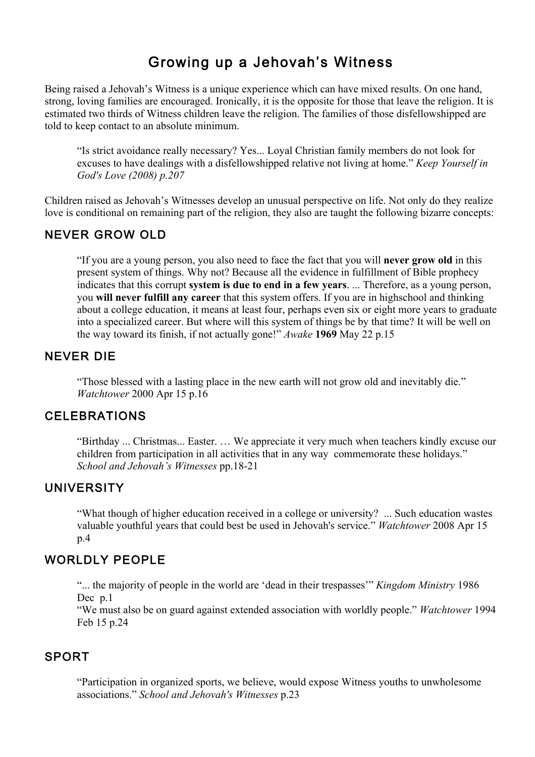### Growing up a Jehovah's Witness

Being raised a Jehovah's Witness is a unique experience which can have mixed results. On one hand, strong, loving families are encouraged. Ironically, it is the opposite for those that leave the religion. It is estimated two thirds of Witness children leave the religion. The families of those disfellowshipped are told to keep contact to an absolute minimum.

"Is strict avoidance really necessary? Yes... Loyal Christian family members do not look for excuses to have dealings with a disfellowshipped relative not living at home." *Keep Yourself in God's Love (2008) p.207* 

Children raised as Jehovah's Witnesses develop an unusual perspective on life. Not only do they realize love is conditional on remaining part of the religion, they also are taught the following bizarre concepts:

#### NEVER GROW OLD

"If you are a young person, you also need to face the fact that you will **never grow old** in this present system of things. Why not? Because all the evidence in fulfillment of Bible prophecy indicates that this corrupt **system is due to end in a few years**. ... Therefore, as a young person, you **will never fulfill any career** that this system offers. If you are in highschool and thinking about a college education, it means at least four, perhaps even six or eight more years to graduate into a specialized career. But where will this system of things be by that time? It will be well on the way toward its finish, if not actually gone!" *Awake* **1969** May 22 p.15

#### NEVER DIE

"Those blessed with a lasting place in the new earth will not grow old and inevitably die." *Watchtower* 2000 Apr 15 p.16

#### CELEBRATIONS

"Birthday ... Christmas... Easter. … We appreciate it very much when teachers kindly excuse our children from participation in all activities that in any way commemorate these holidays." *School and Jehovah's Witnesses* pp.18-21

#### UNIVERSITY

"What though of higher education received in a college or university? ... Such education wastes valuable youthful years that could best be used in Jehovah's service." *Watchtower* 2008 Apr 15 p.4

#### WORLDLY PEOPLE

"... the majority of people in the world are 'dead in their trespasses'" *Kingdom Ministry* 1986 Dec p.1

"We must also be on guard against extended association with worldly people." *Watchtower* 1994 Feb 15 p.24

#### SPORT

"Participation in organized sports, we believe, would expose Witness youths to unwholesome associations." *School and Jehovah's Witnesses* p.23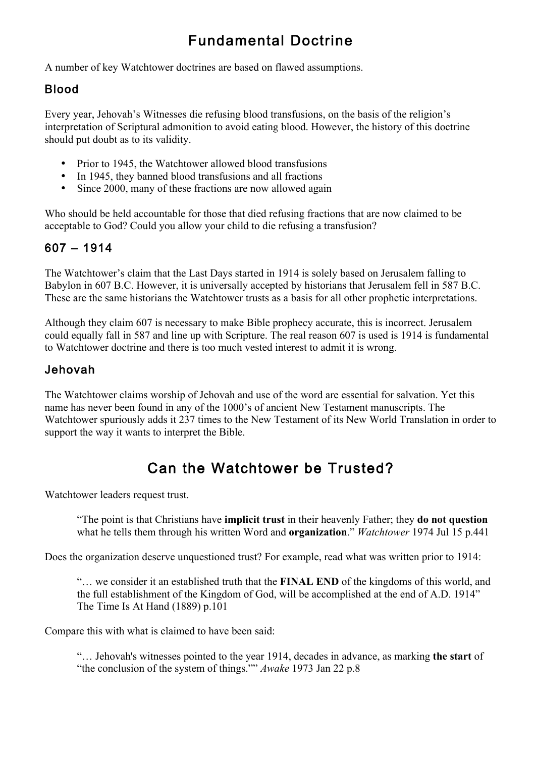# Fundamental Doctrine

A number of key Watchtower doctrines are based on flawed assumptions.

### Blood

Every year, Jehovah's Witnesses die refusing blood transfusions, on the basis of the religion's interpretation of Scriptural admonition to avoid eating blood. However, the history of this doctrine should put doubt as to its validity.

- Prior to 1945, the Watchtower allowed blood transfusions
- In 1945, they banned blood transfusions and all fractions
- Since 2000, many of these fractions are now allowed again

Who should be held accountable for those that died refusing fractions that are now claimed to be acceptable to God? Could you allow your child to die refusing a transfusion?

### 607 – 1914

The Watchtower's claim that the Last Days started in 1914 is solely based on Jerusalem falling to Babylon in 607 B.C. However, it is universally accepted by historians that Jerusalem fell in 587 B.C. These are the same historians the Watchtower trusts as a basis for all other prophetic interpretations.

Although they claim 607 is necessary to make Bible prophecy accurate, this is incorrect. Jerusalem could equally fall in 587 and line up with Scripture. The real reason 607 is used is 1914 is fundamental to Watchtower doctrine and there is too much vested interest to admit it is wrong.

### Jehovah

The Watchtower claims worship of Jehovah and use of the word are essential for salvation. Yet this name has never been found in any of the 1000's of ancient New Testament manuscripts. The Watchtower spuriously adds it 237 times to the New Testament of its New World Translation in order to support the way it wants to interpret the Bible.

# Can the Watchtower be Trusted?

Watchtower leaders request trust.

"The point is that Christians have **implicit trust** in their heavenly Father; they **do not question**  what he tells them through his written Word and **organization**." *Watchtower* 1974 Jul 15 p.441

Does the organization deserve unquestioned trust? For example, read what was written prior to 1914:

"… we consider it an established truth that the **FINAL END** of the kingdoms of this world, and the full establishment of the Kingdom of God, will be accomplished at the end of A.D. 1914" The Time Is At Hand (1889) p.101

Compare this with what is claimed to have been said:

"… Jehovah's witnesses pointed to the year 1914, decades in advance, as marking **the start** of "the conclusion of the system of things."" *Awake* 1973 Jan 22 p.8